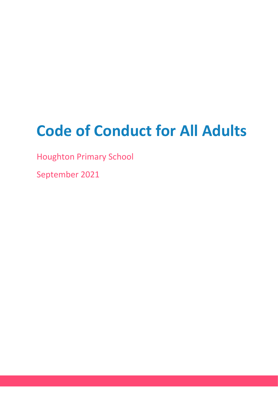# **Code of Conduct for All Adults**

Houghton Primary School

September 2021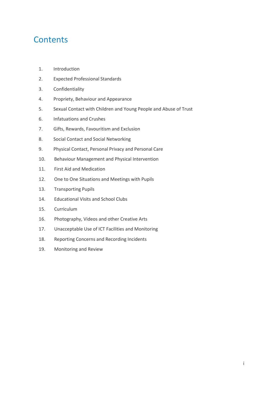# **Contents**

- 1. Introduction
- 2. Expected Professional Standards
- 3. Confidentiality
- 4. Propriety, Behaviour and Appearance
- 5. Sexual Contact with Children and Young People and Abuse of Trust
- 6. Infatuations and Crushes
- 7. Gifts, Rewards, Favouritism and Exclusion
- 8. Social Contact and Social Networking
- 9. Physical Contact, Personal Privacy and Personal Care
- 10. Behaviour Management and Physical Intervention
- 11. First Aid and Medication
- 12. One to One Situations and Meetings with Pupils
- 13. Transporting Pupils
- 14. Educational Visits and School Clubs
- 15. Curriculum
- 16. Photography, Videos and other Creative Arts
- 17. Unacceptable Use of ICT Facilities and Monitoring
- 18. Reporting Concerns and Recording Incidents
- 19. Monitoring and Review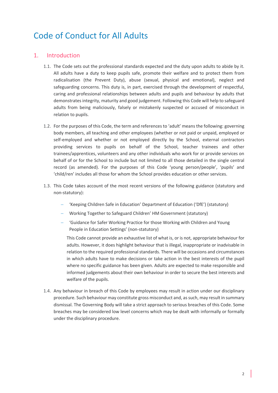# Code of Conduct for All Adults

#### 1. Introduction

- 1.1. The Code sets out the professional standards expected and the duty upon adults to abide by it. All adults have a duty to keep pupils safe, promote their welfare and to protect them from radicalisation (the Prevent Duty), abuse (sexual, physical and emotional), neglect and safeguarding concerns. This duty is, in part, exercised through the development of respectful, caring and professional relationships between adults and pupils and behaviour by adults that demonstrates integrity, maturity and good judgement. Following this Code will help to safeguard adults from being maliciously, falsely or mistakenly suspected or accused of misconduct in relation to pupils.
- 1.2. For the purposes of this Code, the term and references to 'adult' means the following: governing body members, all teaching and other employees (whether or not paid or unpaid, employed or self-employed and whether or not employed directly by the School, external contractors providing services to pupils on behalf of the School, teacher trainees and other trainees/apprentices, volunteers and any other individuals who work for or provide services on behalf of or for the School to include but not limited to all those detailed in the single central record (as amended). For the purposes of this Code 'young person/people', 'pupils' and 'child/ren' includes all those for whom the School provides education or other services.
- 1.3. This Code takes account of the most recent versions of the following guidance (statutory and non-statutory):
	- 'Keeping Children Safe in Education' Department of Education ('DfE') (statutory)
	- Working Together to Safeguard Children' HM Government (statutory)
	- 'Guidance for Safer Working Practice for those Working with Children and Young People in Education Settings' (non-statutory)

This Code cannot provide an exhaustive list of what is, or is not, appropriate behaviour for adults. However, it does highlight behaviour that is illegal, inappropriate or inadvisable in relation to the required professional standards. There will be occasions and circumstances in which adults have to make decisions or take action in the best interests of the pupil where no specific guidance has been given. Adults are expected to make responsible and informed judgements about their own behaviour in order to secure the best interests and welfare of the pupils.

1.4. Any behaviour in breach of this Code by employees may result in action under our disciplinary procedure. Such behaviour may constitute gross misconduct and, as such, may result in summary dismissal. The Governing Body will take a strict approach to serious breaches of this Code. Some breaches may be considered low level concerns which may be dealt with informally or formally under the disciplinary procedure.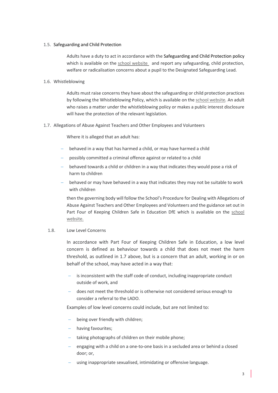#### 1.5. Safeguarding and Child Protection

Adults have a duty to act in accordance with the Safeguarding and Child Protection policy which is available on the [school website](http://www.houghton.cambs.sch.uk/index.php/about-us/policies) and report any safeguarding, child protection, welfare or radicalisation concerns about a pupil to the Designated Safeguarding Lead.

#### 1.6. Whistleblowing

Adults must raise concerns they have about the safeguarding or child protection practices by following the Whistleblowing Policy, which is available on the [school website](http://www.houghton.cambs.sch.uk/index.php/about-us/policies)*.* An adult who raises a matter under the whistleblowing policy or makes a public interest disclosure will have the protection of the relevant legislation.

1.7. Allegations of Abuse Against Teachers and Other Employees and Volunteers

Where it is alleged that an adult has:

- behaved in a way that has harmed a child, or may have harmed a child
- possibly committed a criminal offence against or related to a child
- behaved towards a child or children in a way that indicates they would pose a risk of harm to children
- behaved or may have behaved in a way that indicates they may not be suitable to work with children

then the governing body will follow the School's Procedure for Dealing with Allegations of Abuse Against Teachers and Other Employees and Volunteers and the guidance set out in Part Four of Keeping Children Safe in Education DfE which is available on the [school](http://www.houghton.cambs.sch.uk/index.php/about-us/policies)  [website.](http://www.houghton.cambs.sch.uk/index.php/about-us/policies)

#### 1.8. Low Level Concerns

In accordance with Part Four of Keeping Children Safe in Education, a low level concern is defined as behaviour towards a child that does not meet the harm threshold, as outlined in 1.7 above, but is a concern that an adult, working in or on behalf of the school, may have acted in a way that:

- $\overline{\phantom{a}}$  is inconsistent with the staff code of conduct, including inappropriate conduct outside of work, and
- does not meet the threshold or is otherwise not considered serious enough to consider a referral to the LADO.

Examples of low level concerns could include, but are not limited to:

- being over friendly with children;
- having favourites;
- taking photographs of children on their mobile phone;
- engaging with a child on a one-to-one basis in a secluded area or behind a closed door; or,
- using inappropriate sexualised, intimidating or offensive language.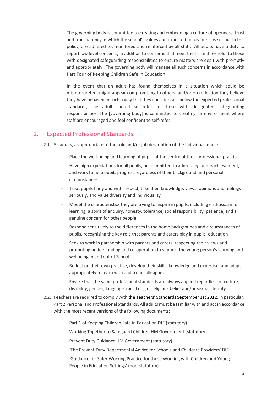The governing body is committed to creating and embedding a culture of openness, trust and transparency in which the school's values and expected behaviours, as set out in this policy, are adhered to, monitored and reinforced by all staff. All adults have a duty to report low level concerns, in addition to concerns that meet the harm threshold, to those with designated safeguarding responsibilities to ensure matters are dealt with promptly and appropriately. The governing body will manage all such concerns in accordance with Part Four of Keeping Children Safe in Education.

In the event that an adult has found themselves in a situation which could be misinterpreted, might appear compromising to others, and/or on reflection they believe they have behaved in such a way that they consider falls below the expected professional standards, the adult should self-refer to those with designated safeguarding responsibilities. The [governing body] is committed to creating an environment where staff are encouraged and feel confident to self-refer.

#### 2. Expected Professional Standards

- 2.1. All adults, as appropriate to the role and/or job description of the individual, must:
	- Place the well-being and learning of pupils at the centre of their professional practice
	- Have high expectations for all pupils, be committed to addressing underachievement, and work to help pupils progress regardless of their background and personal circumstances
	- Treat pupils fairly and with respect, take their knowledge, views, opinions and feelings seriously, and value diversity and individuality
	- Model the characteristics they are trying to inspire in pupils, including enthusiasm for learning, a spirit of enquiry, honesty, tolerance, social responsibility, patience, and a genuine concern for other people
	- Respond sensitively to the differences in the home backgrounds and circumstances of pupils, recognising the key role that parents and carers play in pupils' education
	- Seek to work in partnership with parents and carers, respecting their views and promoting understanding and co-operation to support the young person's learning and wellbeing in and out of School
	- Reflect on their own practice, develop their skills, knowledge and expertise, and adapt appropriately to learn with and from colleagues
	- Ensure that the same professional standards are always applied regardless of culture, disability, gender, language, racial origin, religious belief and/or sexual identity
- 2.2. Teachers are required to comply with the [Teachers' Standards September 1st 2012](https://www.gov.uk/government/uploads/system/uploads/attachment_data/file/301107/Teachers__Standards.pdf), in particular, Part 2 Personal and Professional Standards. All adults must be familiar with and act in accordance with the most recent versions of the following documents:
	- Part 1 of Keeping Children Safe in Education DfE (statutory)
	- Working Together to Safeguard Children HM Government (statutory)
	- Prevent Duty Guidance HM Government (statutory)
	- 'The Prevent Duty Departmental Advice for Schools and Childcare Providers' DfE
	- 'Guidance for Safer Working Practice for those Working with Children and Young People in Education Settings' (non-statutory).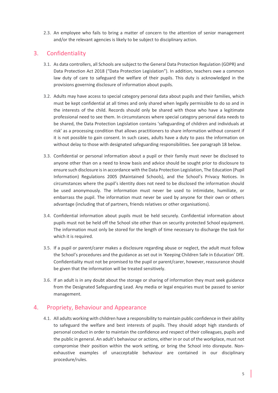2.3. An employee who fails to bring a matter of concern to the attention of senior management and/or the relevant agencies is likely to be subject to disciplinary action.

### 3. Confidentiality

- 3.1. As data controllers, all Schools are subject to the General Data Protection Regulation (GDPR) and Data Protection Act 2018 ("Data Protection Legislation"). In addition, teachers owe a common law duty of care to safeguard the welfare of their pupils. This duty is acknowledged in the provisions governing disclosure of information about pupils.
- 3.2. Adults may have access to special category personal data about pupils and their families, which must be kept confidential at all times and only shared when legally permissible to do so and in the interests of the child. Records should only be shared with those who have a legitimate professional need to see them. In circumstances where special category personal data needs to be shared, the Data Protection Legislation contains 'safeguarding of children and individuals at risk' as a processing condition that allows practitioners to share information without consent if it is not possible to gain consent. In such cases, adults have a duty to pass the information on without delay to those with designated safeguarding responsibilities. See paragraph 18 below.
- 3.3. Confidential or personal information about a pupil or their family must never be disclosed to anyone other than on a need to know basis and advice should be sought prior to disclosure to ensure such disclosure is in accordance with the Data Protection Legislation, The Education (Pupil Information) Regulations 2005 (Maintained Schools), and the School's Privacy Notices. In circumstances where the pupil's identity does not need to be disclosed the information should be used anonymously. The information must never be used to intimidate, humiliate, or embarrass the pupil. The information must never be used by anyone for their own or others advantage (including that of partners, friends relatives or other organisations).
- 3.4. Confidential information about pupils must be held securely. Confidential information about pupils must not be held off the School site other than on security protected School equipment. The information must only be stored for the length of time necessary to discharge the task for which it is required.
- 3.5. If a pupil or parent/carer makes a disclosure regarding abuse or neglect, the adult must follow the School's procedures and the guidance as set out in 'Keeping Children Safe in Education' DfE. Confidentiality must not be promised to the pupil or parent/carer, however, reassurance should be given that the information will be treated sensitively.
- 3.6. If an adult is in any doubt about the storage or sharing of information they must seek guidance from the Designated Safeguarding Lead. Any media or legal enquiries must be passed to senior management.

#### 4. Propriety, Behaviour and Appearance

4.1. All adults working with children have a responsibility to maintain public confidence in their ability to safeguard the welfare and best interests of pupils. They should adopt high standards of personal conduct in order to maintain the confidence and respect of their colleagues, pupils and the public in general. An adult's behaviour or actions, either in or out of the workplace, must not compromise their position within the work setting, or bring the School into disrepute. Nonexhaustive examples of unacceptable behaviour are contained in our disciplinary procedure/rules.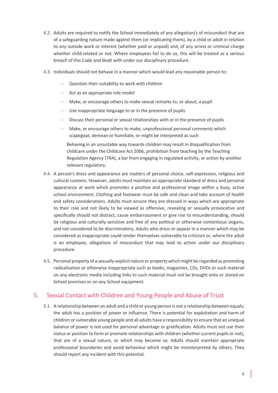- 4.2. Adults are required to notify the School immediately of any allegation/s of misconduct that are of a safeguarding nature made against them (or implicating them), by a child or adult in relation to any outside work or interest (whether paid or unpaid) and, of any arrest or criminal charge whether child-related or not. Where employees fail to do so, this will be treated as a serious breach of this Code and dealt with under our disciplinary procedure.
- 4.3. Individuals should not behave in a manner which would lead any reasonable person to:
	- Question their suitability to work with children
	- Act as an appropriate role model
	- Make, or encourage others to make sexual remarks to, or about, a pupil
	- Use inappropriate language to or in the presence of pupils
	- Discuss their personal or sexual relationships with or in the presence of pupils
	- Make, or encourage others to make, unprofessional personal comments which scapegoat, demean or humiliate, or might be interpreted as such

Behaving in an unsuitable way towards children may result in disqualification from childcare under the Childcare Act 2006, prohibition from teaching by the Teaching Regulation Agency (TRA), a bar from engaging in regulated activity, or action by another relevant regulatory.

- 4.4. A person's dress and appearance are matters of personal choice, self-expression, religious and cultural customs. However, adults must maintain an appropriate standard of dress and personal appearance at work which promotes a positive and professional image within a busy, active school environment. Clothing and footwear must be safe and clean and take account of health and safety considerations. Adults must ensure they are dressed in ways which are appropriate to their role and not likely to be viewed as offensive, revealing or sexually provocative and specifically should not distract, cause embarrassment or give rise to misunderstanding, should be religious and culturally sensitive and free of any political or otherwise contentious slogans, and not considered to be discriminatory. Adults who dress or appear in a manner which may be considered as inappropriate could render themselves vulnerable to criticism or, where the adult is an employee, allegations of misconduct that may lead to action under our disciplinary procedure.
- 4.5. Personal property of a sexually-explicit nature or property which might be regarded as promoting radicalisation or otherwise inappropriate such as books, magazines, CDs, DVDs or such material on any electronic media including links to such material must not be brought onto or stored on School premises or on any School equipment.

### 5. Sexual Contact with Children and Young People and Abuse of Trust

5.1. A relationship between an adult and a child or young person is not a relationship between equals; the adult has a position of power or influence. There is potential for exploitation and harm of children or vulnerable young people and all adults have a responsibility to ensure that an unequal balance of power is not used for personal advantage or gratification. Adults must not use their status or position to form or promote relationships with children (whether current pupils or not), that are of a sexual nature, or which may become so. Adults should maintain appropriate professional boundaries and avoid behaviour which might be misinterpreted by others. They should report any incident with this potential.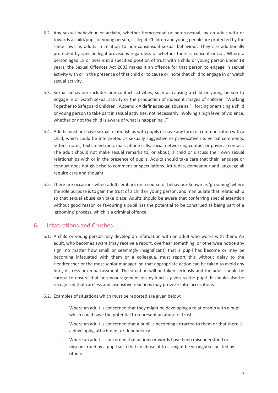- 5.2. Any sexual behaviour or activity, whether homosexual or heterosexual, by an adult with or towards a child/pupil or young person, is illegal. Children and young people are protected by the same laws as adults in relation to non-consensual sexual behaviour. They are additionally protected by specific legal provisions regardless of whether there is consent or not. Where a person aged 18 or over is in a specified position of trust with a child or young person under 18 years, the Sexual Offences Act 2003 makes it an offence for that person to engage in sexual activity with or in the presence of that child or to cause or incite that child to engage in or watch sexual activity.
- 5.3. Sexual behaviour includes non-contact activities, such as causing a child or young person to engage in or watch sexual activity or the production of indecent images of children. 'Working Together to Safeguard Children', Appendix A defines sexual abuse as "...forcing or enticing a child or young person to take part in sexual activities, not necessarily involving a high level of violence, whether or not the child is aware of what is happening…"
- 5.4. Adults must not have sexual relationships with pupils or have any form of communication with a child, which could be interpreted as sexually suggestive or provocative i.e. verbal comments, letters, notes, texts, electronic mail, phone calls, social networking contact or physical contact. The adult should not make sexual remarks to, or about, a child or discuss their own sexual relationships with or in the presence of pupils. Adults should take care that their language or conduct does not give rise to comment or speculations. Attitudes, demeanour and language all require care and thought.
- 5.5. There are occasions when adults embark on a course of behaviour known as 'grooming' where the sole purpose is to gain the trust of a child or young person, and manipulate that relationship so that sexual abuse can take place. Adults should be aware that conferring special attention without good reason or favouring a pupil has the potential to be construed as being part of a 'grooming' process, which is a criminal offence.

#### 6. Infatuations and Crushes

- 6.1. A child or young person may develop an infatuation with an adult who works with them. An adult, who becomes aware (may receive a report, overhear something, or otherwise notice any sign, no matter how small or seemingly insignificant) that a pupil has become or may be becoming infatuated with them or a colleague, must report this without delay to the Headteacher or the most senior manager, so that appropriate action can be taken to avoid any hurt, distress or embarrassment. The situation will be taken seriously and the adult should be careful to ensure that no encouragement of any kind is given to the pupil. It should also be recognised that careless and insensitive reactions may provoke false accusations.
- 6.2. Examples of situations which must be reported are given below:
	- Where an adult is concerned that they might be developing a relationship with a pupil which could have the potential to represent an abuse of trust
	- Where an adult is concerned that a pupil is becoming attracted to them or that there is a developing attachment or dependency
	- Where an adult is concerned that actions or words have been misunderstood or misconstrued by a pupil such that an abuse of trust might be wrongly suspected by others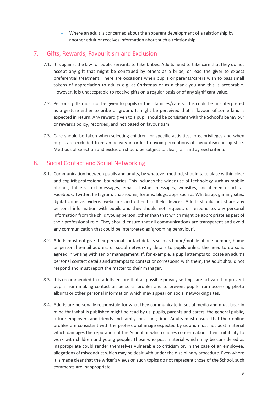Where an adult is concerned about the apparent development of a relationship by another adult or receives information about such a relationship

### 7. Gifts, Rewards, Favouritism and Exclusion

- 7.1. It is against the law for public servants to take bribes. Adults need to take care that they do not accept any gift that might be construed by others as a bribe, or lead the giver to expect preferential treatment. There are occasions when pupils or parents/carers wish to pass small tokens of appreciation to adults e.g. at Christmas or as a thank you and this is acceptable. However, it is unacceptable to receive gifts on a regular basis or of any significant value.
- 7.2. Personal gifts must not be given to pupils or their families/carers. This could be misinterpreted as a gesture either to bribe or groom. It might be perceived that a 'favour' of some kind is expected in return. Any reward given to a pupil should be consistent with the School's behaviour or rewards policy, recorded, and not based on favouritism.
- 7.3. Care should be taken when selecting children for specific activities, jobs, privileges and when pupils are excluded from an activity in order to avoid perceptions of favouritism or injustice. Methods of selection and exclusion should be subject to clear, fair and agreed criteria.

### 8. Social Contact and Social Networking

- 8.1. Communication between pupils and adults, by whatever method, should take place within clear and explicit professional boundaries. This includes the wider use of technology such as mobile phones, tablets, text messages, emails, instant messages, websites, social media such as Facebook, Twitter, Instagram, chat-rooms, forums, blogs, apps such as Whatsapp, gaming sites, digital cameras, videos, webcams and other handheld devices. Adults should not share any personal information with pupils and they should not request, or respond to, any personal information from the child/young person, other than that which might be appropriate as part of their professional role. They should ensure that all communications are transparent and avoid any communication that could be interpreted as 'grooming behaviour'.
- 8.2. Adults must not give their personal contact details such as home/mobile phone number; home or personal e-mail address or social networking details to pupils unless the need to do so is agreed in writing with senior management. If, for example, a pupil attempts to locate an adult's personal contact details and attempts to contact or correspond with them, the adult should not respond and must report the matter to their manager.
- 8.3. It is recommended that adults ensure that all possible privacy settings are activated to prevent pupils from making contact on personal profiles and to prevent pupils from accessing photo albums or other personal information which may appear on social networking sites.
- 8.4. Adults are personally responsible for what they communicate in social media and must bear in mind that what is published might be read by us, pupils, parents and carers, the general public, future employers and friends and family for a long time. Adults must ensure that their online profiles are consistent with the professional image expected by us and must not post material which damages the reputation of the School or which causes concern about their suitability to work with children and young people. Those who post material which may be considered as inappropriate could render themselves vulnerable to criticism or, in the case of an employee, allegations of misconduct which may be dealt with under the disciplinary procedure. Even where it is made clear that the writer's views on such topics do not represent those of the School, such comments are inappropriate.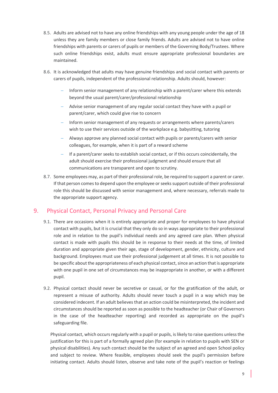- 8.5. Adults are advised not to have any online friendships with any young people under the age of 18 unless they are family members or close family friends. Adults are advised not to have online friendships with parents or carers of pupils or members of the Governing Body/Trustees. Where such online friendships exist, adults must ensure appropriate professional boundaries are maintained.
- 8.6. It is acknowledged that adults may have genuine friendships and social contact with parents or carers of pupils, independent of the professional relationship. Adults should, however:
	- Inform senior management of any relationship with a parent/carer where this extends beyond the usual parent/carer/professional relationship
	- Advise senior management of any regular social contact they have with a pupil or parent/carer, which could give rise to concern
	- Inform senior management of any requests or arrangements where parents/carers wish to use their services outside of the workplace e.g. babysitting, tutoring
	- Always approve any planned social contact with pupils or parents/carers with senior colleagues, for example, when it is part of a reward scheme
	- $-I$  If a parent/carer seeks to establish social contact, or if this occurs coincidentally, the adult should exercise their professional judgment and should ensure that all communications are transparent and open to scrutiny.
- 8.7. Some employees may, as part of their professional role, be required to support a parent or carer. If that person comes to depend upon the employee or seeks support outside of their professional role this should be discussed with senior management and, where necessary, referrals made to the appropriate support agency.

### 9. Physical Contact, Personal Privacy and Personal Care

- 9.1. There are occasions when it is entirely appropriate and proper for employees to have physical contact with pupils, but it is crucial that they only do so in ways appropriate to their professional role and in relation to the pupil's individual needs and any agreed care plan. When physical contact is made with pupils this should be in response to their needs at the time, of limited duration and appropriate given their age, stage of development, gender, ethnicity, culture and background. Employees must use their professional judgement at all times. It is not possible to be specific about the appropriateness of each physical contact, since an action that is appropriate with one pupil in one set of circumstances may be inappropriate in another, or with a different pupil.
- 9.2. Physical contact should never be secretive or casual, or for the gratification of the adult, or represent a misuse of authority. Adults should never touch a pupil in a way which may be considered indecent. If an adult believes that an action could be misinterpreted, the incident and circumstances should be reported as soon as possible to the headteacher (or Chair of Governors in the case of the headteacher reporting) and recorded as appropriate on the pupil's safeguarding file.

Physical contact, which occurs regularly with a pupil or pupils, is likely to raise questions unless the justification for this is part of a formally agreed plan (for example in relation to pupils with SEN or physical disabilities). Any such contact should be the subject of an agreed and open School policy and subject to review. Where feasible, employees should seek the pupil's permission before initiating contact. Adults should listen, observe and take note of the pupil's reaction or feelings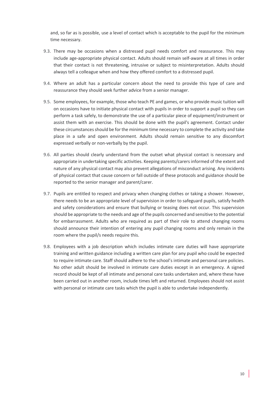and, so far as is possible, use a level of contact which is acceptable to the pupil for the minimum time necessary.

- 9.3. There may be occasions when a distressed pupil needs comfort and reassurance. This may include age-appropriate physical contact. Adults should remain self-aware at all times in order that their contact is not threatening, intrusive or subject to misinterpretation. Adults should always tell a colleague when and how they offered comfort to a distressed pupil.
- 9.4. Where an adult has a particular concern about the need to provide this type of care and reassurance they should seek further advice from a senior manager.
- 9.5. Some employees, for example, those who teach PE and games, or who provide music tuition will on occasions have to initiate physical contact with pupils in order to support a pupil so they can perform a task safely, to demonstrate the use of a particular piece of equipment/instrument or assist them with an exercise. This should be done with the pupil's agreement. Contact under these circumstances should be for the minimum time necessary to complete the activity and take place in a safe and open environment. Adults should remain sensitive to any discomfort expressed verbally or non-verbally by the pupil.
- 9.6. All parties should clearly understand from the outset what physical contact is necessary and appropriate in undertaking specific activities. Keeping parents/carers informed of the extent and nature of any physical contact may also prevent allegations of misconduct arising. Any incidents of physical contact that cause concern or fall outside of these protocols and guidance should be reported to the senior manager and parent/carer.
- 9.7. Pupils are entitled to respect and privacy when changing clothes or taking a shower. However, there needs to be an appropriate level of supervision in order to safeguard pupils, satisfy health and safety considerations and ensure that bullying or teasing does not occur. This supervision should be appropriate to the needs and age of the pupils concerned and sensitive to the potential for embarrassment. Adults who are required as part of their role to attend changing rooms should announce their intention of entering any pupil changing rooms and only remain in the room where the pupil/s needs require this.
- 9.8. Employees with a job description which includes intimate care duties will have appropriate training and written guidance including a written care plan for any pupil who could be expected to require intimate care. Staff should adhere to the school's intimate and personal care policies. No other adult should be involved in intimate care duties except in an emergency. A signed record should be kept of all intimate and personal care tasks undertaken and, where these have been carried out in another room, include times left and returned. Employees should not assist with personal or intimate care tasks which the pupil is able to undertake independently.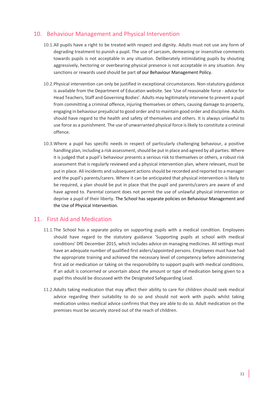#### 10. Behaviour Management and Physical Intervention

- 10.1.All pupils have a right to be treated with respect and dignity. Adults must not use any form of degrading treatment to punish a pupil. The use of sarcasm, demeaning or insensitive comments towards pupils is not acceptable in any situation. Deliberately intimidating pupils by shouting aggressively, hectoring or overbearing physical presence is not acceptable in any situation. Any sanctions or rewards used should be part of our Behaviour Management Policy.
- 10.2.Physical intervention can only be justified in exceptional circumstances. Non-statutory guidance is available from the Department of Education website. See 'Use of reasonable force - advice for Head Teachers, Staff and Governing Bodies'. Adults may legitimately intervene to prevent a pupil from committing a criminal offence, injuring themselves or others, causing damage to property, engaging in behaviour prejudicial to good order and to maintain good order and discipline. Adults should have regard to the health and safety of themselves and others. It is always unlawful to use force as a punishment. The use of unwarranted physical force is likely to constitute a criminal offence.
- 10.3.Where a pupil has specific needs in respect of particularly challenging behaviour, a positive handling plan, including a risk assessment, should be put in place and agreed by all parties. Where it is judged that a pupil's behaviour presents a serious risk to themselves or others, a robust risk assessment that is regularly reviewed and a physical intervention plan, where relevant, must be put in place. All incidents and subsequent actions should be recorded and reported to a manager and the pupil's parents/carers. Where it can be anticipated that physical intervention is likely to be required, a plan should be put in place that the pupil and parents/carers are aware of and have agreed to. Parental consent does not permit the use of unlawful physical intervention or deprive a pupil of their liberty. The School has separate policies on Behaviour Management and the Use of Physical Intervention.

#### 11. First Aid and Medication

- 11.1.The School has a separate policy on supporting pupils with a medical condition. Employees should have regard to the statutory guidance 'Supporting pupils at school with medical conditions' DfE December 2015, which includes advice on managing medicines. All settings must have an adequate number of qualified first aiders/appointed persons. Employees must have had the appropriate training and achieved the necessary level of competency before administering first aid or medication or taking on the responsibility to support pupils with medical conditions. If an adult is concerned or uncertain about the amount or type of medication being given to a pupil this should be discussed with the Designated Safeguarding Lead.
- 11.2.Adults taking medication that may affect their ability to care for children should seek medical advice regarding their suitability to do so and should not work with pupils whilst taking medication unless medical advice confirms that they are able to do so. Adult medication on the premises must be securely stored out of the reach of children.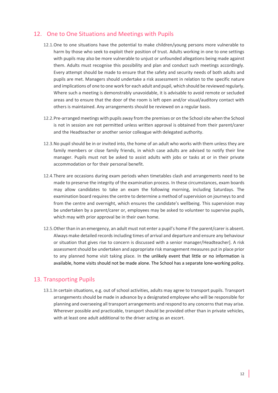### 12. One to One Situations and Meetings with Pupils

- 12.1.One to one situations have the potential to make children/young persons more vulnerable to harm by those who seek to exploit their position of trust. Adults working in one to one settings with pupils may also be more vulnerable to unjust or unfounded allegations being made against them. Adults must recognise this possibility and plan and conduct such meetings accordingly. Every attempt should be made to ensure that the safety and security needs of both adults and pupils are met. Managers should undertake a risk assessment in relation to the specific nature and implications of one to one work for each adult and pupil, which should be reviewed regularly. Where such a meeting is demonstrably unavoidable, it is advisable to avoid remote or secluded areas and to ensure that the door of the room is left open and/or visual/auditory contact with others is maintained. Any arrangements should be reviewed on a regular basis.
- 12.2. Pre-arranged meetings with pupils away from the premises or on the School site when the School is not in session are not permitted unless written approval is obtained from their parent/carer and the Headteacher or another senior colleague with delegated authority.
- 12.3.No pupil should be in or invited into, the home of an adult who works with them unless they are family members or close family friends, in which case adults are advised to notify their line manager. Pupils must not be asked to assist adults with jobs or tasks at or in their private accommodation or for their personal benefit.
- 12.4.There are occasions during exam periods when timetables clash and arrangements need to be made to preserve the integrity of the examination process. In these circumstances, exam boards may allow candidates to take an exam the following morning, including Saturdays. The examination board requires the centre to determine a method of supervision on journeys to and from the centre and overnight, which ensures the candidate's wellbeing. This supervision may be undertaken by a parent/carer or, employees may be asked to volunteer to supervise pupils, which may with prior approval be in their own home.
- 12.5.Other than in an emergency, an adult must not enter a pupil's home if the parent/carer is absent. Always make detailed records including times of arrival and departure and ensure any behaviour or situation that gives rise to concern is discussed with a senior manager/Headteacher]. A risk assessment should be undertaken and appropriate risk management measures put in place prior to any planned home visit taking place. In the unlikely event that little or no information is available, home visits should not be made alone. The School has a separate lone-working policy.

### 13. Transporting Pupils

13.1.In certain situations, e.g. out of school activities, adults may agree to transport pupils. Transport arrangements should be made in advance by a designated employee who will be responsible for planning and overseeing all transport arrangements and respond to any concerns that may arise. Wherever possible and practicable, transport should be provided other than in private vehicles, with at least one adult additional to the driver acting as an escort.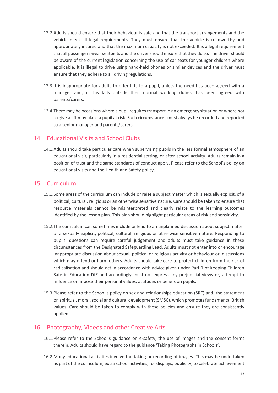- 13.2.Adults should ensure that their behaviour is safe and that the transport arrangements and the vehicle meet all legal requirements. They must ensure that the vehicle is roadworthy and appropriately insured and that the maximum capacity is not exceeded. It is a legal requirement that all passengers wear seatbelts and the driver should ensure that they do so. The driver should be aware of the current legislation concerning the use of car seats for younger children where applicable. It is illegal to drive using hand-held phones or similar devices and the driver must ensure that they adhere to all driving regulations.
- 13.3.It is inappropriate for adults to offer lifts to a pupil, unless the need has been agreed with a manager and, if this falls outside their normal working duties, has been agreed with parents/carers.
- 13.4.There may be occasions where a pupil requires transport in an emergency situation or where not to give a lift may place a pupil at risk. Such circumstances must always be recorded and reported to a senior manager and parents/carers.

#### 14. Educational Visits and School Clubs

14.1.Adults should take particular care when supervising pupils in the less formal atmosphere of an educational visit, particularly in a residential setting, or after-school activity. Adults remain in a position of trust and the same standards of conduct apply. Please refer to the School's policy on educational visits and the Health and Safety policy.

#### 15. Curriculum

- 15.1.Some areas of the curriculum can include or raise a subject matter which is sexually explicit, of a political, cultural, religious or an otherwise sensitive nature. Care should be taken to ensure that resource materials cannot be misinterpreted and clearly relate to the learning outcomes identified by the lesson plan. This plan should highlight particular areas of risk and sensitivity.
- 15.2.The curriculum can sometimes include or lead to an unplanned discussion about subject matter of a sexually explicit, political, cultural, religious or otherwise sensitive nature. Responding to pupils' questions can require careful judgement and adults must take guidance in these circumstances from the Designated Safeguarding Lead. Adults must not enter into or encourage inappropriate discussion about sexual, political or religious activity or behaviour or, discussions which may offend or harm others. Adults should take care to protect children from the risk of radicalisation and should act in accordance with advice given under Part 1 of Keeping Children Safe in Education DfE and accordingly must not express any prejudicial views or, attempt to influence or impose their personal values, attitudes or beliefs on pupils.
- 15.3.Please refer to the School's policy on sex and relationships education (SRE) and, the statement on spiritual, moral, social and cultural development (SMSC), which promotes fundamental British values. Care should be taken to comply with these policies and ensure they are consistently applied.

#### 16. Photography, Videos and other Creative Arts

- 16.1.Please refer to the School's guidance on e-safety, the use of images and the consent forms therein. Adults should have regard to the guidance 'Taking Photographs in Schools'.
- 16.2.Many educational activities involve the taking or recording of images. This may be undertaken as part of the curriculum, extra school activities, for displays, publicity, to celebrate achievement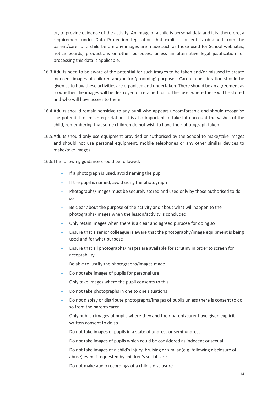or, to provide evidence of the activity. An image of a child is personal data and it is, therefore, a requirement under Data Protection Legislation that explicit consent is obtained from the parent/carer of a child before any images are made such as those used for School web sites, notice boards, productions or other purposes, unless an alternative legal justification for processing this data is applicable.

- 16.3.Adults need to be aware of the potential for such images to be taken and/or misused to create indecent images of children and/or for 'grooming' purposes. Careful consideration should be given as to how these activities are organised and undertaken. There should be an agreement as to whether the images will be destroyed or retained for further use, where these will be stored and who will have access to them.
- 16.4.Adults should remain sensitive to any pupil who appears uncomfortable and should recognise the potential for misinterpretation. It is also important to take into account the wishes of the child, remembering that some children do not wish to have their photograph taken.
- 16.5.Adults should only use equipment provided or authorised by the School to make/take images and should not use personal equipment, mobile telephones or any other similar devices to make/take images.
- 16.6.The following guidance should be followed:
	- $-I$  If a photograph is used, avoid naming the pupil
	- $-I$  If the pupil is named, avoid using the photograph
	- Photographs/images must be securely stored and used only by those authorised to do so
	- $B =$  Be clear about the purpose of the activity and about what will happen to the photographs/images when the lesson/activity is concluded
	- Only retain images when there is a clear and agreed purpose for doing so
	- Ensure that a senior colleague is aware that the photography/image equipment is being used and for what purpose
	- Ensure that all photographs/images are available for scrutiny in order to screen for acceptability
	- $B =$  Be able to justify the photographs/images made
	- Do not take images of pupils for personal use
	- Only take images where the pupil consents to this
	- Do not take photographs in one to one situations
	- Do not display or distribute photographs/images of pupils unless there is consent to do so from the parent/carer
	- Only publish images of pupils where they and their parent/carer have given explicit written consent to do so
	- Do not take images of pupils in a state of undress or semi-undress
	- Do not take images of pupils which could be considered as indecent or sexual
	- Do not take images of a child's injury, bruising or similar (e.g. following disclosure of abuse) even if requested by children's social care
	- Do not make audio recordings of a child's disclosure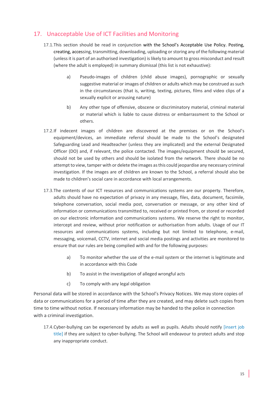## 17. Unacceptable Use of ICT Facilities and Monitoring

- 17.1.This section should be read in conjunction with the School's Acceptable Use Policy. Posting, creating, accessing, transmitting, downloading, uploading or storing any of the following material (unless it is part of an authorised investigation) is likely to amount to gross misconduct and result (where the adult is employed) in summary dismissal (this list is not exhaustive):
	- a) Pseudo-images of children (child abuse images), pornographic or sexually suggestive material or images of children or adults which may be construed as such in the circumstances (that is, writing, texting, pictures, films and video clips of a sexually explicit or arousing nature)
	- b) Any other type of offensive, obscene or discriminatory material, criminal material or material which is liable to cause distress or embarrassment to the School or others.
- 17.2.If indecent images of children are discovered at the premises or on the School's equipment/devices, an immediate referral should be made to the School's designated Safeguarding Lead and Headteacher (unless they are implicated) and the external Designated Officer (DO) and, if relevant, the police contacted. The images/equipment should be secured, should not be used by others and should be isolated from the network. There should be no attempt to view, tamper with or delete the images as this could jeopardise any necessary criminal investigation. If the images are of children are known to the School, a referral should also be made to children's social care in accordance with local arrangements.
- 17.3.The contents of our ICT resources and communications systems are our property. Therefore, adults should have no expectation of privacy in any message, files, data, document, facsimile, telephone conversation, social media post, conversation or message, or any other kind of information or communications transmitted to, received or printed from, or stored or recorded on our electronic information and communications systems. We reserve the right to monitor, intercept and review, without prior notification or authorisation from adults. Usage of our IT resources and communications systems, including but not limited to telephone, e-mail, messaging, voicemail, CCTV, internet and social media postings and activities are monitored to ensure that our rules are being complied with and for the following purposes:
	- a) To monitor whether the use of the e-mail system or the internet is legitimate and in accordance with this Code
	- b) To assist in the investigation of alleged wrongful acts
	- c) To comply with any legal obligation

Personal data will be stored in accordance with the School's Privacy Notices. We may store copies of data or communications for a period of time after they are created, and may delete such copies from time to time without notice. If necessary information may be handed to the police in connection with a criminal investigation.

17.4.Cyber-bullying can be experienced by adults as well as pupils. Adults should notify [insert job title] if they are subject to cyber-bullying. The School will endeavour to protect adults and stop any inappropriate conduct.